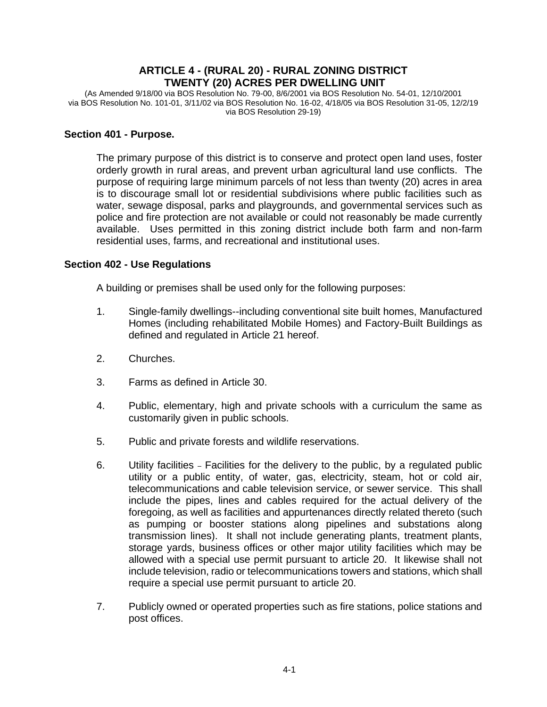## **ARTICLE 4 - (RURAL 20) - RURAL ZONING DISTRICT TWENTY (20) ACRES PER DWELLING UNIT**

(As Amended 9/18/00 via BOS Resolution No. 79-00, 8/6/2001 via BOS Resolution No. 54-01, 12/10/2001 via BOS Resolution No. 101-01, 3/11/02 via BOS Resolution No. 16-02, 4/18/05 via BOS Resolution 31-05, 12/2/19 via BOS Resolution 29-19)

#### **Section 401 - Purpose.**

The primary purpose of this district is to conserve and protect open land uses, foster orderly growth in rural areas, and prevent urban agricultural land use conflicts. The purpose of requiring large minimum parcels of not less than twenty (20) acres in area is to discourage small lot or residential subdivisions where public facilities such as water, sewage disposal, parks and playgrounds, and governmental services such as police and fire protection are not available or could not reasonably be made currently available. Uses permitted in this zoning district include both farm and non-farm residential uses, farms, and recreational and institutional uses.

#### **Section 402 - Use Regulations**

A building or premises shall be used only for the following purposes:

- 1. Single-family dwellings--including conventional site built homes, Manufactured Homes (including rehabilitated Mobile Homes) and Factory-Built Buildings as defined and regulated in Article 21 hereof.
- 2. Churches.
- 3. Farms as defined in Article 30.
- 4. Public, elementary, high and private schools with a curriculum the same as customarily given in public schools.
- 5. Public and private forests and wildlife reservations.
- 6. Utility facilities Facilities for the delivery to the public, by a regulated public utility or a public entity, of water, gas, electricity, steam, hot or cold air, telecommunications and cable television service, or sewer service. This shall include the pipes, lines and cables required for the actual delivery of the foregoing, as well as facilities and appurtenances directly related thereto (such as pumping or booster stations along pipelines and substations along transmission lines). It shall not include generating plants, treatment plants, storage yards, business offices or other major utility facilities which may be allowed with a special use permit pursuant to article 20. It likewise shall not include television, radio or telecommunications towers and stations, which shall require a special use permit pursuant to article 20.
- 7. Publicly owned or operated properties such as fire stations, police stations and post offices.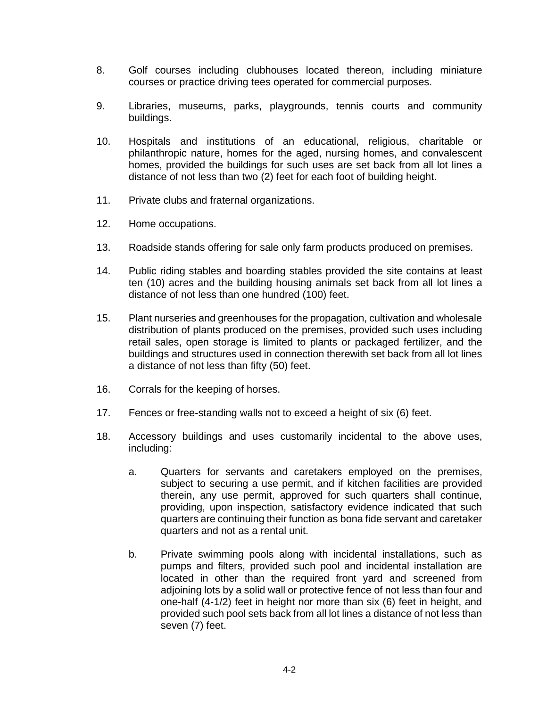- 8. Golf courses including clubhouses located thereon, including miniature courses or practice driving tees operated for commercial purposes.
- 9. Libraries, museums, parks, playgrounds, tennis courts and community buildings.
- 10. Hospitals and institutions of an educational, religious, charitable or philanthropic nature, homes for the aged, nursing homes, and convalescent homes, provided the buildings for such uses are set back from all lot lines a distance of not less than two (2) feet for each foot of building height.
- 11. Private clubs and fraternal organizations.
- 12. Home occupations.
- 13. Roadside stands offering for sale only farm products produced on premises.
- 14. Public riding stables and boarding stables provided the site contains at least ten (10) acres and the building housing animals set back from all lot lines a distance of not less than one hundred (100) feet.
- 15. Plant nurseries and greenhouses for the propagation, cultivation and wholesale distribution of plants produced on the premises, provided such uses including retail sales, open storage is limited to plants or packaged fertilizer, and the buildings and structures used in connection therewith set back from all lot lines a distance of not less than fifty (50) feet.
- 16. Corrals for the keeping of horses.
- 17. Fences or free-standing walls not to exceed a height of six (6) feet.
- 18. Accessory buildings and uses customarily incidental to the above uses, including:
	- a. Quarters for servants and caretakers employed on the premises, subject to securing a use permit, and if kitchen facilities are provided therein, any use permit, approved for such quarters shall continue, providing, upon inspection, satisfactory evidence indicated that such quarters are continuing their function as bona fide servant and caretaker quarters and not as a rental unit.
	- b. Private swimming pools along with incidental installations, such as pumps and filters, provided such pool and incidental installation are located in other than the required front yard and screened from adjoining lots by a solid wall or protective fence of not less than four and one-half (4-1/2) feet in height nor more than six (6) feet in height, and provided such pool sets back from all lot lines a distance of not less than seven (7) feet.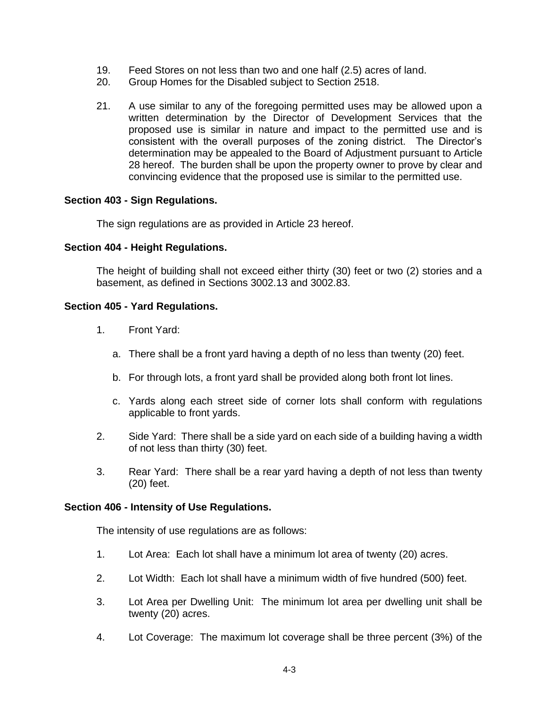- 19. Feed Stores on not less than two and one half (2.5) acres of land.
- 20. Group Homes for the Disabled subject to Section 2518.
- 21. A use similar to any of the foregoing permitted uses may be allowed upon a written determination by the Director of Development Services that the proposed use is similar in nature and impact to the permitted use and is consistent with the overall purposes of the zoning district. The Director's determination may be appealed to the Board of Adjustment pursuant to Article 28 hereof. The burden shall be upon the property owner to prove by clear and convincing evidence that the proposed use is similar to the permitted use.

### **Section 403 - Sign Regulations.**

The sign regulations are as provided in Article 23 hereof.

#### **Section 404 - Height Regulations.**

The height of building shall not exceed either thirty (30) feet or two (2) stories and a basement, as defined in Sections 3002.13 and 3002.83.

#### **Section 405 - Yard Regulations.**

- 1. Front Yard:
	- a. There shall be a front yard having a depth of no less than twenty (20) feet.
	- b. For through lots, a front yard shall be provided along both front lot lines.
	- c. Yards along each street side of corner lots shall conform with regulations applicable to front yards.
- 2. Side Yard: There shall be a side yard on each side of a building having a width of not less than thirty (30) feet.
- 3. Rear Yard: There shall be a rear yard having a depth of not less than twenty (20) feet.

#### **Section 406 - Intensity of Use Regulations.**

The intensity of use regulations are as follows:

- 1. Lot Area: Each lot shall have a minimum lot area of twenty (20) acres.
- 2. Lot Width: Each lot shall have a minimum width of five hundred (500) feet.
- 3. Lot Area per Dwelling Unit: The minimum lot area per dwelling unit shall be twenty (20) acres.
- 4. Lot Coverage: The maximum lot coverage shall be three percent (3%) of the